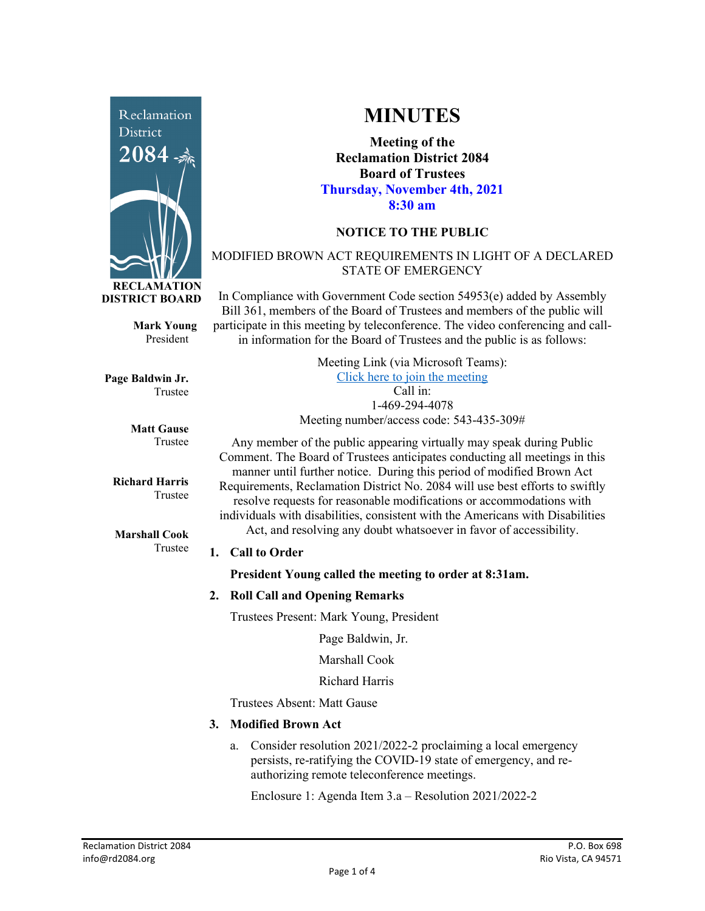

**Mark Young** President

**Page Baldwin Jr.** Trustee

> **Matt Gause** Trustee

**Richard Harris** Trustee

**Marshall Cook** Trustee

# **MINUTES**

**Meeting of the Reclamation District 2084 Board of Trustees Thursday, November 4th, 2021 8:30 am**

# **NOTICE TO THE PUBLIC**

## MODIFIED BROWN ACT REQUIREMENTS IN LIGHT OF A DECLARED STATE OF EMERGENCY

In Compliance with Government Code section 54953(e) added by Assembly Bill 361, members of the Board of Trustees and members of the public will participate in this meeting by teleconference. The video conferencing and callin information for the Board of Trustees and the public is as follows:

> Meeting Link (via Microsoft Teams): [Click here to join the meeting](https://teams.microsoft.com/l/meetup-join/19%3ameeting_Y2UyNWRiYzQtYWY2Mi00MTlhLWI0NDQtMjUzYzk0OWU0NGFi%40thread.v2/0?context=%7b%22Tid%22%3a%22f9038203-c87c-4f0e-b326-970a381acd40%22%2c%22Oid%22%3a%22b6a515a8-4d0a-410e-b81a-1dc60ae8c01d%22%7d) Call in: 1-469-294-4078 Meeting number/access code: 543-435-309#

Any member of the public appearing virtually may speak during Public Comment. The Board of Trustees anticipates conducting all meetings in this manner until further notice. During this period of modified Brown Act Requirements, Reclamation District No. 2084 will use best efforts to swiftly resolve requests for reasonable modifications or accommodations with individuals with disabilities, consistent with the Americans with Disabilities Act, and resolving any doubt whatsoever in favor of accessibility.

#### **1. Call to Order**

**President Young called the meeting to order at 8:31am.** 

#### **2. Roll Call and Opening Remarks**

Trustees Present: Mark Young, President

Page Baldwin, Jr.

Marshall Cook

Richard Harris

Trustees Absent: Matt Gause

# **3. Modified Brown Act**

a. Consider resolution 2021/2022-2 proclaiming a local emergency persists, re-ratifying the COVID-19 state of emergency, and reauthorizing remote teleconference meetings.

Enclosure 1: Agenda Item 3.a – Resolution 2021/2022-2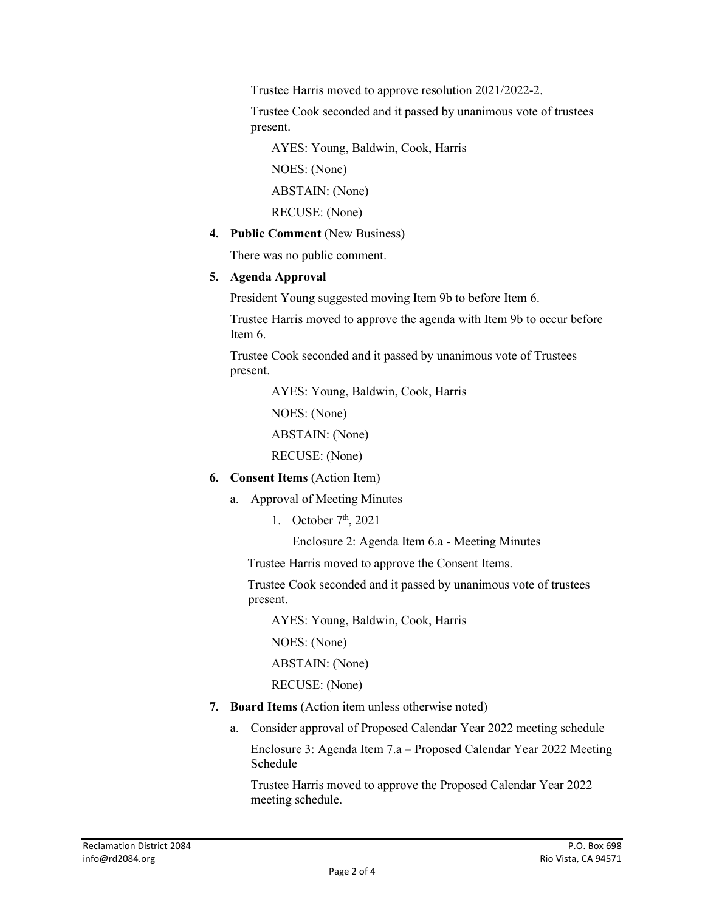Trustee Harris moved to approve resolution 2021/2022-2.

Trustee Cook seconded and it passed by unanimous vote of trustees present.

AYES: Young, Baldwin, Cook, Harris

NOES: (None)

ABSTAIN: (None)

RECUSE: (None)

**4. Public Comment** (New Business)

There was no public comment.

#### **5. Agenda Approval**

President Young suggested moving Item 9b to before Item 6.

Trustee Harris moved to approve the agenda with Item 9b to occur before Item 6.

Trustee Cook seconded and it passed by unanimous vote of Trustees present.

AYES: Young, Baldwin, Cook, Harris

NOES: (None)

ABSTAIN: (None)

RECUSE: (None)

- **6. Consent Items** (Action Item)
	- a. Approval of Meeting Minutes
		- 1. October  $7<sup>th</sup>$ , 2021

Enclosure 2: Agenda Item 6.a - Meeting Minutes

Trustee Harris moved to approve the Consent Items.

 Trustee Cook seconded and it passed by unanimous vote of trustees present.

AYES: Young, Baldwin, Cook, Harris

NOES: (None)

ABSTAIN: (None)

RECUSE: (None)

- **7. Board Items** (Action item unless otherwise noted)
	- a. Consider approval of Proposed Calendar Year 2022 meeting schedule Enclosure 3: Agenda Item 7.a – Proposed Calendar Year 2022 Meeting Schedule

Trustee Harris moved to approve the Proposed Calendar Year 2022 meeting schedule.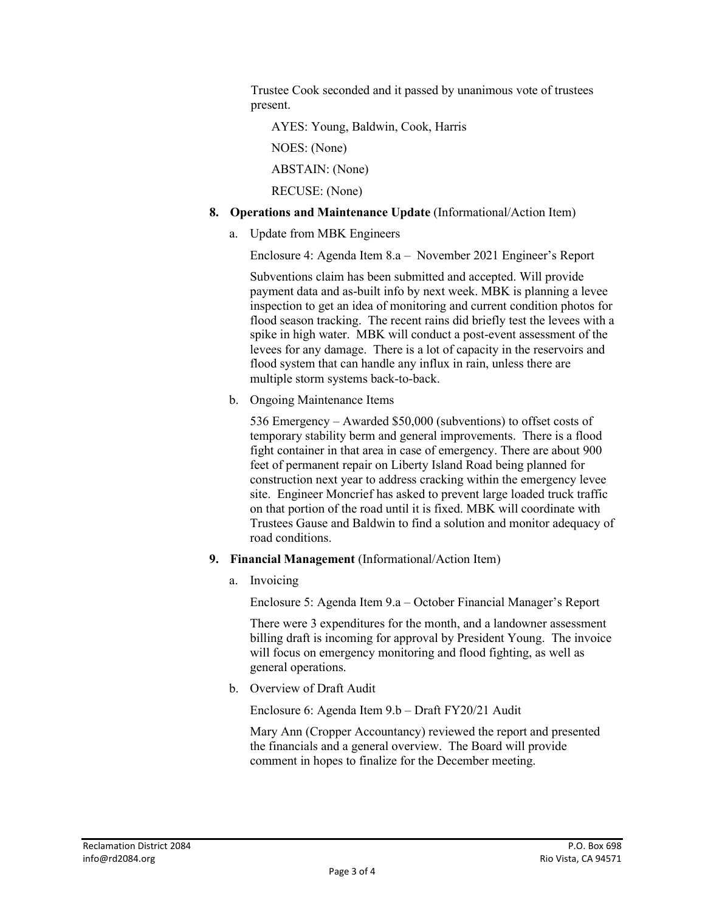Trustee Cook seconded and it passed by unanimous vote of trustees present.

AYES: Young, Baldwin, Cook, Harris

NOES: (None)

ABSTAIN: (None)

RECUSE: (None)

### **8. Operations and Maintenance Update** (Informational/Action Item)

a. Update from MBK Engineers

Enclosure 4: Agenda Item 8.a – November 2021 Engineer's Report

Subventions claim has been submitted and accepted. Will provide payment data and as-built info by next week. MBK is planning a levee inspection to get an idea of monitoring and current condition photos for flood season tracking. The recent rains did briefly test the levees with a spike in high water. MBK will conduct a post-event assessment of the levees for any damage. There is a lot of capacity in the reservoirs and flood system that can handle any influx in rain, unless there are multiple storm systems back-to-back.

b. Ongoing Maintenance Items

536 Emergency – Awarded \$50,000 (subventions) to offset costs of temporary stability berm and general improvements. There is a flood fight container in that area in case of emergency. There are about 900 feet of permanent repair on Liberty Island Road being planned for construction next year to address cracking within the emergency levee site. Engineer Moncrief has asked to prevent large loaded truck traffic on that portion of the road until it is fixed. MBK will coordinate with Trustees Gause and Baldwin to find a solution and monitor adequacy of road conditions.

- **9. Financial Management** (Informational/Action Item)
	- a. Invoicing

Enclosure 5: Agenda Item 9.a – October Financial Manager's Report

There were 3 expenditures for the month, and a landowner assessment billing draft is incoming for approval by President Young. The invoice will focus on emergency monitoring and flood fighting, as well as general operations.

b. Overview of Draft Audit

Enclosure 6: Agenda Item 9.b – Draft FY20/21 Audit

Mary Ann (Cropper Accountancy) reviewed the report and presented the financials and a general overview. The Board will provide comment in hopes to finalize for the December meeting.